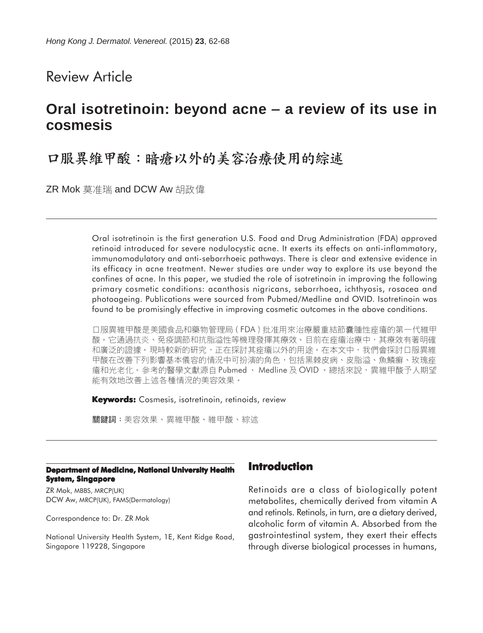# Review Article

# **Oral isotretinoin: beyond acne** − **a review of its use in cosmesis**

# 口服異維甲酸:暗瘡以外的美容治療使用的綜述

ZR Mok 莫准瑞 and DCW Aw 胡政偉

Oral isotretinoin is the first generation U.S. Food and Drug Administration (FDA) approved retinoid introduced for severe nodulocystic acne. It exerts its effects on anti-inflammatory, immunomodulatory and anti-seborrhoeic pathways. There is clear and extensive evidence in its efficacy in acne treatment. Newer studies are under way to explore its use beyond the confines of acne. In this paper, we studied the role of isotretinoin in improving the following primary cosmetic conditions: acanthosis nigricans, seborrhoea, ichthyosis, rosacea and photoageing. Publications were sourced from Pubmed/Medline and OVID. Isotretinoin was found to be promisingly effective in improving cosmetic outcomes in the above conditions.

口服異維甲酸是美國食品和藥物管理局(FDA)批准用來治療嚴重結節囊腫性痤瘡的第一代維甲 酸。它通過抗炎、免疫調節和抗脂溢性等機理發揮其療效。目前在痤瘡治療中,其療效有著明確 和廣泛的證據。現時較新的研究,正在探討其痤瘡以外的用途。在本文中,我們會探討口服異維 甲酸在改善下列影響基本儀容的情況中可扮演的角色,包括黑棘皮病、皮脂溢、魚鱗癬、玫瑰痤 瘡和光老化。參考的醫學文獻源自 Pubmed、 Medline 及 OVID 。總括來說,異維甲酸予人期望 能有效地改善上述各種情況的美容效果。

**Keywords:** Cosmesis, isotretinoin, retinoids, review

關鍵詞:美容效果、異維甲酸、維甲酸、綜述

#### **Department of Medicine, National University Health System, Singapore**

ZR Mok, MBBS, MRCP(UK) DCW Aw, MRCP(UK), FAMS(Dermatology)

Correspondence to: Dr. ZR Mok

National University Health System, 1E, Kent Ridge Road, Singapore 119228, Singapore

#### **Introduction**

Retinoids are a class of biologically potent metabolites, chemically derived from vitamin A and retinols. Retinols, in turn, are a dietary derived, alcoholic form of vitamin A. Absorbed from the gastrointestinal system, they exert their effects through diverse biological processes in humans,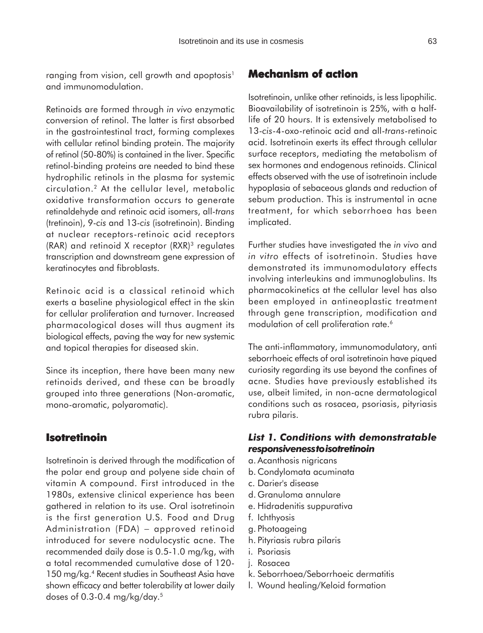ranging from vision, cell growth and apoptosis<sup>1</sup> and immunomodulation.

Retinoids are formed through *in vivo* enzymatic conversion of retinol. The latter is first absorbed in the gastrointestinal tract, forming complexes with cellular retinol binding protein. The majority of retinol (50-80%) is contained in the liver. Specific retinol-binding proteins are needed to bind these hydrophilic retinols in the plasma for systemic circulation.2 At the cellular level, metabolic oxidative transformation occurs to generate retinaldehyde and retinoic acid isomers, all-*trans* (tretinoin), 9-*cis* and 13-*cis* (isotretinoin). Binding at nuclear receptors-retinoic acid receptors (RAR) and retinoid X receptor (RXR)3 regulates transcription and downstream gene expression of keratinocytes and fibroblasts.

Retinoic acid is a classical retinoid which exerts a baseline physiological effect in the skin for cellular proliferation and turnover. Increased pharmacological doses will thus augment its biological effects, paving the way for new systemic and topical therapies for diseased skin.

Since its inception, there have been many new retinoids derived, and these can be broadly grouped into three generations (Non-aromatic, mono-aromatic, polyaromatic).

#### **Isotretinoin**

Isotretinoin is derived through the modification of the polar end group and polyene side chain of vitamin A compound. First introduced in the 1980s, extensive clinical experience has been gathered in relation to its use. Oral isotretinoin is the first generation U.S. Food and Drug Administration (FDA) – approved retinoid introduced for severe nodulocystic acne. The recommended daily dose is 0.5-1.0 mg/kg, with a total recommended cumulative dose of 120- 150 mg/kg.<sup>4</sup> Recent studies in Southeast Asia have shown efficacy and better tolerability at lower daily doses of 0.3-0.4 mg/kg/day.5

## **Mechanism of action**

Isotretinoin, unlike other retinoids, is less lipophilic. Bioavailability of isotretinoin is 25%, with a halflife of 20 hours. It is extensively metabolised to 13-*cis*-4-oxo-retinoic acid and all-*trans*-retinoic acid. Isotretinoin exerts its effect through cellular surface receptors, mediating the metabolism of sex hormones and endogenous retinoids. Clinical effects observed with the use of isotretinoin include hypoplasia of sebaceous glands and reduction of sebum production. This is instrumental in acne treatment, for which seborrhoea has been implicated.

Further studies have investigated the *in vivo* and *in vitro* effects of isotretinoin. Studies have demonstrated its immunomodulatory effects involving interleukins and immunoglobulins. Its pharmacokinetics at the cellular level has also been employed in antineoplastic treatment through gene transcription, modification and modulation of cell proliferation rate.<sup>6</sup>

The anti-inflammatory, immunomodulatory, anti seborrhoeic effects of oral isotretinoin have piqued curiosity regarding its use beyond the confines of acne. Studies have previously established its use, albeit limited, in non-acne dermatological conditions such as rosacea, psoriasis, pityriasis rubra pilaris.

#### *List 1. Conditions with demonstratable responsiveness to isotretinoin*

- a. Acanthosis nigricans
- b. Condylomata acuminata
- c. Darier's disease
- d. Granuloma annulare
- e. Hidradenitis suppurativa
- f. Ichthyosis
- g. Photoageing
- h. Pityriasis rubra pilaris
- i. Psoriasis
- j. Rosacea
- k. Seborrhoea/Seborrhoeic dermatitis
- l. Wound healing/Keloid formation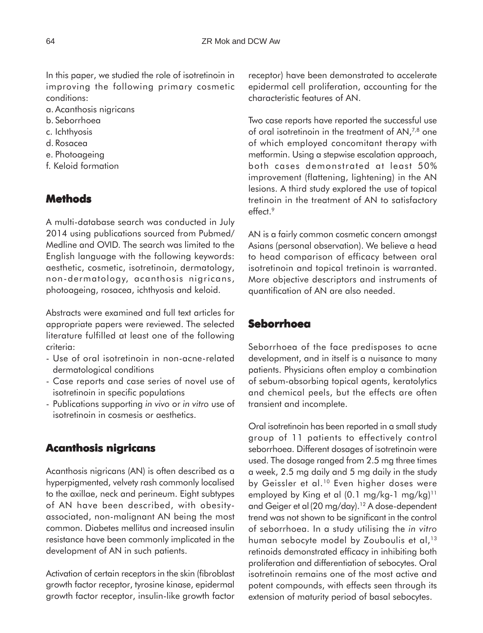In this paper, we studied the role of isotretinoin in improving the following primary cosmetic conditions:

- a. Acanthosis nigricans
- b. Seborrhoea
- c. Ichthyosis
- d. Rosacea
- e. Photoageing
- f. Keloid formation

## **Methods**

A multi-database search was conducted in July 2014 using publications sourced from Pubmed/ Medline and OVID. The search was limited to the English language with the following keywords: aesthetic, cosmetic, isotretinoin, dermatology, non-dermatology, acanthosis nigricans, photoageing, rosacea, ichthyosis and keloid.

Abstracts were examined and full text articles for appropriate papers were reviewed. The selected literature fulfilled at least one of the following criteria:

- Use of oral isotretinoin in non-acne-related dermatological conditions
- Case reports and case series of novel use of isotretinoin in specific populations
- Publications supporting *in vivo* or *in vitro* use of isotretinoin in cosmesis or aesthetics.

## **Acanthosis nigricans**

Acanthosis nigricans (AN) is often described as a hyperpigmented, velvety rash commonly localised to the axillae, neck and perineum. Eight subtypes of AN have been described, with obesityassociated, non-malignant AN being the most common. Diabetes mellitus and increased insulin resistance have been commonly implicated in the development of AN in such patients.

Activation of certain receptors in the skin (fibroblast growth factor receptor, tyrosine kinase, epidermal growth factor receptor, insulin-like growth factor receptor) have been demonstrated to accelerate epidermal cell proliferation, accounting for the characteristic features of AN.

Two case reports have reported the successful use of oral isotretinoin in the treatment of AN,<sup>7,8</sup> one of which employed concomitant therapy with metformin. Using a stepwise escalation approach, both cases demonstrated at least 50% improvement (flattening, lightening) in the AN lesions. A third study explored the use of topical tretinoin in the treatment of AN to satisfactory effect.9

AN is a fairly common cosmetic concern amongst Asians (personal observation). We believe a head to head comparison of efficacy between oral isotretinoin and topical tretinoin is warranted. More objective descriptors and instruments of quantification of AN are also needed.

## **Seborrhoea**

Seborrhoea of the face predisposes to acne development, and in itself is a nuisance to many patients. Physicians often employ a combination of sebum-absorbing topical agents, keratolytics and chemical peels, but the effects are often transient and incomplete.

Oral isotretinoin has been reported in a small study group of 11 patients to effectively control seborrhoea. Different dosages of isotretinoin were used. The dosage ranged from 2.5 mg three times a week, 2.5 mg daily and 5 mg daily in the study by Geissler et al.<sup>10</sup> Even higher doses were employed by King et al  $(0.1 \text{ mg/kg-1 mg/kg})^{11}$ and Geiger et al (20 mg/day).<sup>12</sup> A dose-dependent trend was not shown to be significant in the control of seborrhoea. In a study utilising the *in vitro* human sebocyte model by Zouboulis et al,<sup>13</sup> retinoids demonstrated efficacy in inhibiting both proliferation and differentiation of sebocytes. Oral isotretinoin remains one of the most active and potent compounds, with effects seen through its extension of maturity period of basal sebocytes.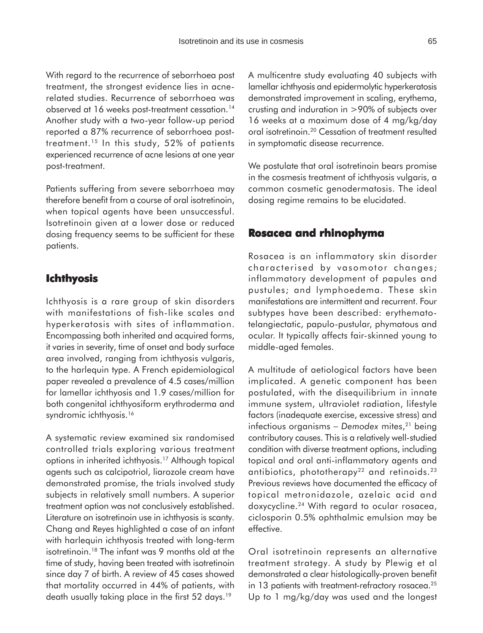With regard to the recurrence of seborrhoea post treatment, the strongest evidence lies in acnerelated studies. Recurrence of seborrhoea was observed at 16 weeks post-treatment cessation.<sup>14</sup> Another study with a two-year follow-up period reported a 87% recurrence of seborrhoea posttreatment.15 In this study, 52% of patients experienced recurrence of acne lesions at one year post-treatment.

Patients suffering from severe seborrhoea may therefore benefit from a course of oral isotretinoin, when topical agents have been unsuccessful. Isotretinoin given at a lower dose or reduced dosing frequency seems to be sufficient for these patients.

## **Ichthyosis**

Ichthyosis is a rare group of skin disorders with manifestations of fish-like scales and hyperkeratosis with sites of inflammation. Encompassing both inherited and acquired forms, it varies in severity, time of onset and body surface area involved, ranging from ichthyosis vulgaris, to the harlequin type. A French epidemiological paper revealed a prevalence of 4.5 cases/million for lamellar ichthyosis and 1.9 cases/million for both congenital ichthyosiform erythroderma and syndromic ichthyosis.<sup>16</sup>

A systematic review examined six randomised controlled trials exploring various treatment options in inherited ichthyosis.17 Although topical agents such as calcipotriol, liarozole cream have demonstrated promise, the trials involved study subjects in relatively small numbers. A superior treatment option was not conclusively established. Literature on isotretinoin use in ichthyosis is scanty. Chang and Reyes highlighted a case of an infant with harlequin ichthyosis treated with long-term isotretinoin.<sup>18</sup> The infant was 9 months old at the time of study, having been treated with isotretinoin since day 7 of birth. A review of 45 cases showed that mortality occurred in 44% of patients, with death usually taking place in the first 52 days.<sup>19</sup>

A multicentre study evaluating 40 subjects with lamellar ichthyosis and epidermolytic hyperkeratosis demonstrated improvement in scaling, erythema, crusting and induration in >90% of subjects over 16 weeks at a maximum dose of 4 mg/kg/day oral isotretinoin.20 Cessation of treatment resulted in symptomatic disease recurrence.

We postulate that oral isotretinoin bears promise in the cosmesis treatment of ichthyosis vulgaris, a common cosmetic genodermatosis. The ideal dosing regime remains to be elucidated.

#### **Rosacea and rhinophyma**

Rosacea is an inflammatory skin disorder characterised by vasomotor changes; inflammatory development of papules and pustules; and lymphoedema. These skin manifestations are intermittent and recurrent. Four subtypes have been described: erythematotelangiectatic, papulo-pustular, phymatous and ocular. It typically affects fair-skinned young to middle-aged females.

A multitude of aetiological factors have been implicated. A genetic component has been postulated, with the disequilibrium in innate immune system, ultraviolet radiation, lifestyle factors (inadequate exercise, excessive stress) and infectious organisms − *Demodex* mites,21 being contributory causes. This is a relatively well-studied condition with diverse treatment options, including topical and oral anti-inflammatory agents and antibiotics, phototherapy<sup>22</sup> and retinoids.<sup>23</sup> Previous reviews have documented the efficacy of topical metronidazole, azelaic acid and doxycycline.24 With regard to ocular rosacea, ciclosporin 0.5% ophthalmic emulsion may be effective.

Oral isotretinoin represents an alternative treatment strategy. A study by Plewig et al demonstrated a clear histologically-proven benefit in 13 patients with treatment-refractory rosacea.<sup>25</sup> Up to 1 mg/kg/day was used and the longest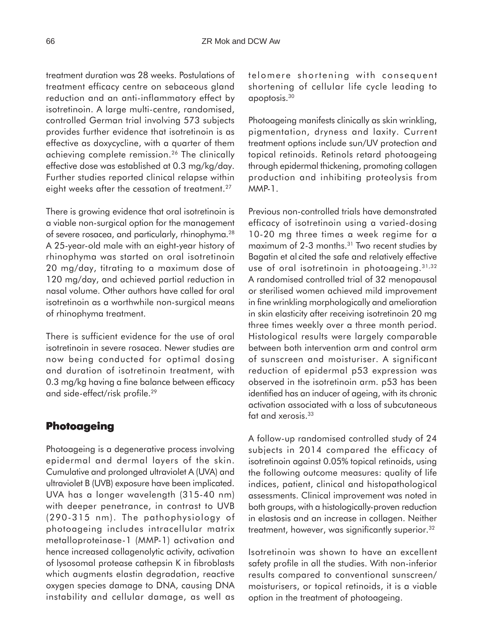treatment duration was 28 weeks. Postulations of treatment efficacy centre on sebaceous gland reduction and an anti-inflammatory effect by isotretinoin. A large multi-centre, randomised, controlled German trial involving 573 subjects provides further evidence that isotretinoin is as effective as doxycycline, with a quarter of them achieving complete remission.26 The clinically effective dose was established at 0.3 mg/kg/day. Further studies reported clinical relapse within eight weeks after the cessation of treatment.<sup>27</sup>

There is growing evidence that oral isotretinoin is a viable non-surgical option for the management of severe rosacea, and particularly, rhinophyma.28 A 25-year-old male with an eight-year history of rhinophyma was started on oral isotretinoin 20 mg/day, titrating to a maximum dose of 120 mg/day, and achieved partial reduction in nasal volume. Other authors have called for oral isotretinoin as a worthwhile non-surgical means of rhinophyma treatment.

There is sufficient evidence for the use of oral isotretinoin in severe rosacea. Newer studies are now being conducted for optimal dosing and duration of isotretinoin treatment, with 0.3 mg/kg having a fine balance between efficacy and side-effect/risk profile.29

#### **Photoageing**

Photoageing is a degenerative process involving epidermal and dermal layers of the skin. Cumulative and prolonged ultraviolet A (UVA) and ultraviolet B (UVB) exposure have been implicated. UVA has a longer wavelength (315-40 nm) with deeper penetrance, in contrast to UVB (290-315 nm). The pathophysiology of photoageing includes intracellular matrix metalloproteinase-1 (MMP-1) activation and hence increased collagenolytic activity, activation of lysosomal protease cathepsin K in fibroblasts which augments elastin degradation, reactive oxygen species damage to DNA, causing DNA instability and cellular damage, as well as

telomere shortening with consequent shortening of cellular life cycle leading to apoptosis.30

Photoageing manifests clinically as skin wrinkling, pigmentation, dryness and laxity. Current treatment options include sun/UV protection and topical retinoids. Retinols retard photoageing through epidermal thickening, promoting collagen production and inhibiting proteolysis from MMP-1.

Previous non-controlled trials have demonstrated efficacy of isotretinoin using a varied-dosing 10-20 mg three times a week regime for a maximum of 2-3 months.<sup>31</sup> Two recent studies by Bagatin et al cited the safe and relatively effective use of oral isotretinoin in photoageing. 31,32 A randomised controlled trial of 32 menopausal or sterilised women achieved mild improvement in fine wrinkling morphologically and amelioration in skin elasticity after receiving isotretinoin 20 mg three times weekly over a three month period. Histological results were largely comparable between both intervention arm and control arm of sunscreen and moisturiser. A significant reduction of epidermal p53 expression was observed in the isotretinoin arm. p53 has been identified has an inducer of ageing, with its chronic activation associated with a loss of subcutaneous fat and xerosis.<sup>33</sup>

A follow-up randomised controlled study of 24 subjects in 2014 compared the efficacy of isotretinoin against 0.05% topical retinoids, using the following outcome measures: quality of life indices, patient, clinical and histopathological assessments. Clinical improvement was noted in both groups, with a histologically-proven reduction in elastosis and an increase in collagen. Neither treatment, however, was significantly superior.32

Isotretinoin was shown to have an excellent safety profile in all the studies. With non-inferior results compared to conventional sunscreen/ moisturisers, or topical retinoids, it is a viable option in the treatment of photoageing.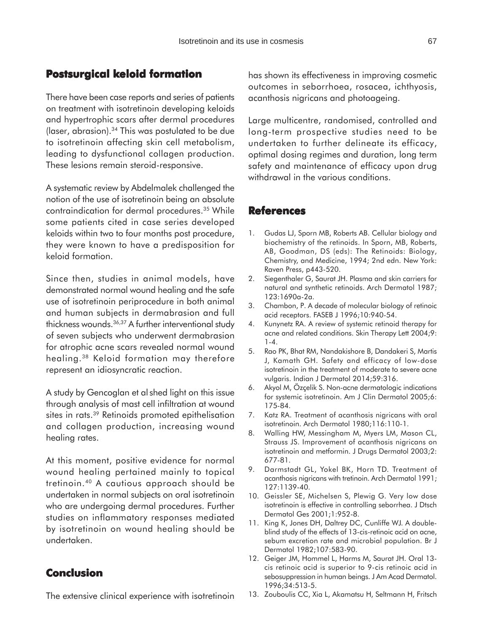### **Postsurgical keloid formation**

There have been case reports and series of patients on treatment with isotretinoin developing keloids and hypertrophic scars after dermal procedures ( $laser$ , abrasion).<sup>34</sup> This was postulated to be due to isotretinoin affecting skin cell metabolism, leading to dysfunctional collagen production. These lesions remain steroid-responsive.

A systematic review by Abdelmalek challenged the notion of the use of isotretinoin being an absolute contraindication for dermal procedures.<sup>35</sup> While some patients cited in case series developed keloids within two to four months post procedure, they were known to have a predisposition for keloid formation.

Since then, studies in animal models, have demonstrated normal wound healing and the safe use of isotretinoin periprocedure in both animal and human subjects in dermabrasion and full thickness wounds.36,37 A further interventional study of seven subjects who underwent dermabrasion for atrophic acne scars revealed normal wound healing.38 Keloid formation may therefore represent an idiosyncratic reaction.

A study by Gencoglan et al shed light on this issue through analysis of mast cell infiltration at wound sites in rats.<sup>39</sup> Retinoids promoted epithelisation and collagen production, increasing wound healing rates.

At this moment, positive evidence for normal wound healing pertained mainly to topical tretinoin.40 A cautious approach should be undertaken in normal subjects on oral isotretinoin who are undergoing dermal procedures. Further studies on inflammatory responses mediated by isotretinoin on wound healing should be undertaken.

#### **Conclusion**

The extensive clinical experience with isotretinoin

has shown its effectiveness in improving cosmetic outcomes in seborrhoea, rosacea, ichthyosis, acanthosis nigricans and photoageing.

Large multicentre, randomised, controlled and long-term prospective studies need to be undertaken to further delineate its efficacy, optimal dosing regimes and duration, long term safety and maintenance of efficacy upon drug withdrawal in the various conditions.

#### **References**

- 1. Gudas LJ, Sporn MB, Roberts AB. Cellular biology and biochemistry of the retinoids. In Sporn, MB, Roberts, AB, Goodman, DS (eds): The Retinoids: Biology, Chemistry, and Medicine, 1994; 2nd edn. New York: Raven Press, p443-520.
- 2. Siegenthaler G, Saurat JH. Plasma and skin carriers for natural and synthetic retinoids. Arch Dermatol 1987; 123:1690a-2a.
- 3. Chambon, P. A decade of molecular biology of retinoic acid receptors. FASEB J 1996;10:940-54.
- 4. Kunynetz RA. A review of systemic retinoid therapy for acne and related conditions. Skin Therapy Lett 2004;9: 1-4.
- 5. Rao PK, Bhat RM, Nandakishore B, Dandakeri S, Martis J, Kamath GH. Safety and efficacy of low-dose isotretinoin in the treatment of moderate to severe acne vulgaris. Indian J Dermatol 2014;59:316.
- 6. Akyol M, Özçelik S. Non-acne dermatologic indications for systemic isotretinoin. Am J Clin Dermatol 2005;6: 175-84.
- 7. Katz RA. Treatment of acanthosis nigricans with oral isotretinoin. Arch Dermatol 1980;116:110-1.
- 8. Walling HW, Messingham M, Myers LM, Mason CL, Strauss JS. Improvement of acanthosis nigricans on isotretinoin and metformin. J Drugs Dermatol 2003;2: 677-81.
- 9. Darmstadt GL, Yokel BK, Horn TD. Treatment of acanthosis nigricans with tretinoin. Arch Dermatol 1991; 127:1139-40.
- 10. Geissler SE, Michelsen S, Plewig G. Very low dose isotretinoin is effective in controlling seborrhea. J Dtsch Dermatol Ges 2001;1:952-8.
- 11. King K, Jones DH, Daltrey DC, Cunliffe WJ. A doubleblind study of the effects of 13-cis-retinoic acid on acne, sebum excretion rate and microbial population. Br J Dermatol 1982;107:583-90.
- 12. Geiger JM, Hommel L, Harms M, Saurat JH. Oral 13 cis retinoic acid is superior to 9-cis retinoic acid in sebosuppression in human beings. J Am Acad Dermatol. 1996;34:513-5.
- 13. Zouboulis CC, Xia L, Akamatsu H, Seltmann H, Fritsch